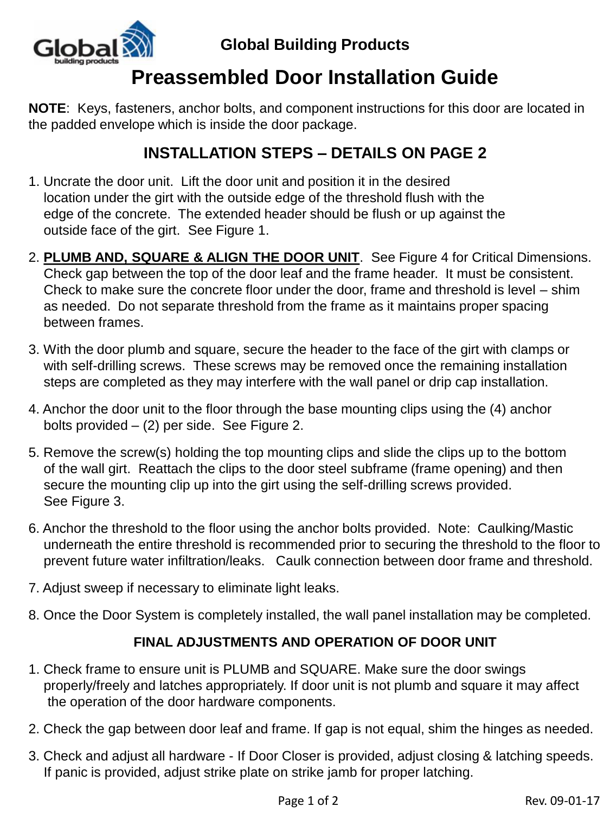

### **Global Building Products**

# **Preassembled Door Installation Guide**

**NOTE**: Keys, fasteners, anchor bolts, and component instructions for this door are located in the padded envelope which is inside the door package.

### **INSTALLATION STEPS – DETAILS ON PAGE 2**

- 1. Uncrate the door unit. Lift the door unit and position it in the desired location under the girt with the outside edge of the threshold flush with the edge of the concrete. The extended header should be flush or up against the outside face of the girt. See Figure 1.
- 2. **PLUMB AND, SQUARE & ALIGN THE DOOR UNIT**. See Figure 4 for Critical Dimensions. Check gap between the top of the door leaf and the frame header. It must be consistent. Check to make sure the concrete floor under the door, frame and threshold is level – shim as needed. Do not separate threshold from the frame as it maintains proper spacing between frames.
- 3. With the door plumb and square, secure the header to the face of the girt with clamps or with self-drilling screws. These screws may be removed once the remaining installation steps are completed as they may interfere with the wall panel or drip cap installation.
- 4. Anchor the door unit to the floor through the base mounting clips using the (4) anchor bolts provided – (2) per side. See Figure 2.
- 5. Remove the screw(s) holding the top mounting clips and slide the clips up to the bottom of the wall girt. Reattach the clips to the door steel subframe (frame opening) and then secure the mounting clip up into the girt using the self-drilling screws provided. See Figure 3.
- 6. Anchor the threshold to the floor using the anchor bolts provided. Note: Caulking/Mastic underneath the entire threshold is recommended prior to securing the threshold to the floor to prevent future water infiltration/leaks. Caulk connection between door frame and threshold.
- 7. Adjust sweep if necessary to eliminate light leaks.
- 8. Once the Door System is completely installed, the wall panel installation may be completed.

#### **FINAL ADJUSTMENTS AND OPERATION OF DOOR UNIT**

- 1. Check frame to ensure unit is PLUMB and SQUARE. Make sure the door swings properly/freely and latches appropriately. If door unit is not plumb and square it may affect the operation of the door hardware components.
- 2. Check the gap between door leaf and frame. If gap is not equal, shim the hinges as needed.
- 3. Check and adjust all hardware If Door Closer is provided, adjust closing & latching speeds. If panic is provided, adjust strike plate on strike jamb for proper latching.